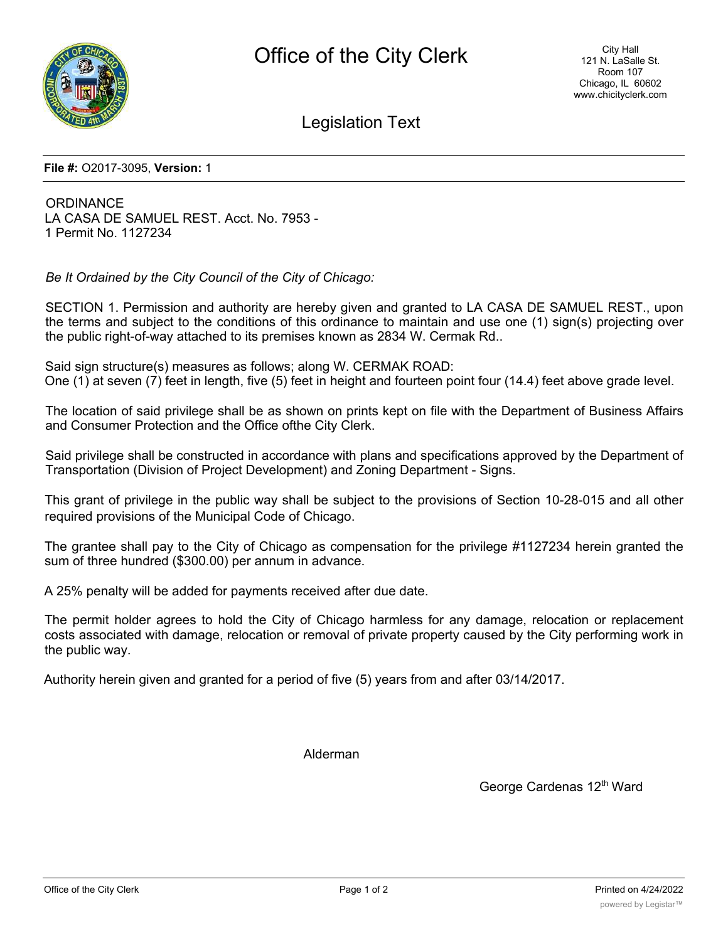

Legislation Text

**File #:** O2017-3095, **Version:** 1

**ORDINANCE** LA CASA DE SAMUEL REST. Acct. No. 7953 - 1 Permit No. 1127234

*Be It Ordained by the City Council of the City of Chicago:*

SECTION 1. Permission and authority are hereby given and granted to LA CASA DE SAMUEL REST., upon the terms and subject to the conditions of this ordinance to maintain and use one (1) sign(s) projecting over the public right-of-way attached to its premises known as 2834 W. Cermak Rd..

Said sign structure(s) measures as follows; along W. CERMAK ROAD: One (1) at seven (7) feet in length, five (5) feet in height and fourteen point four (14.4) feet above grade level.

The location of said privilege shall be as shown on prints kept on file with the Department of Business Affairs and Consumer Protection and the Office ofthe City Clerk.

Said privilege shall be constructed in accordance with plans and specifications approved by the Department of Transportation (Division of Project Development) and Zoning Department - Signs.

This grant of privilege in the public way shall be subject to the provisions of Section 10-28-015 and all other required provisions of the Municipal Code of Chicago.

The grantee shall pay to the City of Chicago as compensation for the privilege #1127234 herein granted the sum of three hundred (\$300.00) per annum in advance.

A 25% penalty will be added for payments received after due date.

The permit holder agrees to hold the City of Chicago harmless for any damage, relocation or replacement costs associated with damage, relocation or removal of private property caused by the City performing work in the public way.

Authority herein given and granted for a period of five (5) years from and after 03/14/2017.

Alderman

George Cardenas 12<sup>th</sup> Ward